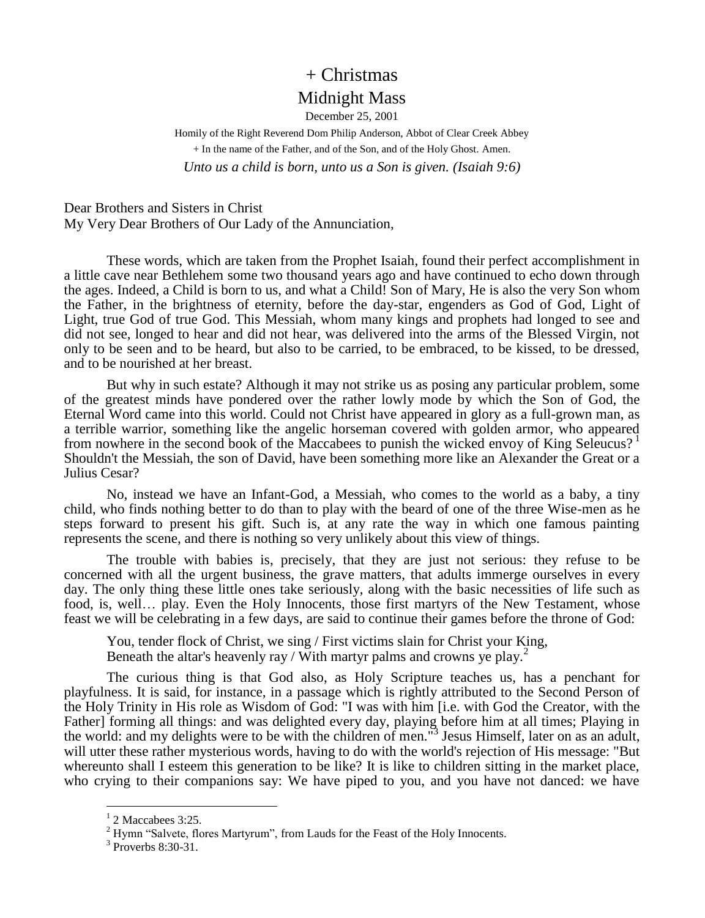## + Christmas Midnight Mass

December 25, 2001 Homily of the Right Reverend Dom Philip Anderson, Abbot of Clear Creek Abbey + In the name of the Father, and of the Son, and of the Holy Ghost. Amen. *Unto us a child is born, unto us a Son is given. (Isaiah 9:6)*

Dear Brothers and Sisters in Christ My Very Dear Brothers of Our Lady of the Annunciation,

These words, which are taken from the Prophet Isaiah, found their perfect accomplishment in a little cave near Bethlehem some two thousand years ago and have continued to echo down through the ages. Indeed, a Child is born to us, and what a Child! Son of Mary, He is also the very Son whom the Father, in the brightness of eternity, before the day-star, engenders as God of God, Light of Light, true God of true God. This Messiah, whom many kings and prophets had longed to see and did not see, longed to hear and did not hear, was delivered into the arms of the Blessed Virgin, not only to be seen and to be heard, but also to be carried, to be embraced, to be kissed, to be dressed, and to be nourished at her breast.

But why in such estate? Although it may not strike us as posing any particular problem, some of the greatest minds have pondered over the rather lowly mode by which the Son of God, the Eternal Word came into this world. Could not Christ have appeared in glory as a full-grown man, as a terrible warrior, something like the angelic horseman covered with golden armor, who appeared from nowhere in the second book of the Maccabees to punish the wicked envoy of King Seleucus? <sup>1</sup> Shouldn't the Messiah, the son of David, have been something more like an Alexander the Great or a Julius Cesar?

No, instead we have an Infant-God, a Messiah, who comes to the world as a baby, a tiny child, who finds nothing better to do than to play with the beard of one of the three Wise-men as he steps forward to present his gift. Such is, at any rate the way in which one famous painting represents the scene, and there is nothing so very unlikely about this view of things.

The trouble with babies is, precisely, that they are just not serious: they refuse to be concerned with all the urgent business, the grave matters, that adults immerge ourselves in every day. The only thing these little ones take seriously, along with the basic necessities of life such as food, is, well... play. Even the Holy Innocents, those first martyrs of the New Testament, whose feast we will be celebrating in a few days, are said to continue their games before the throne of God:

You, tender flock of Christ, we sing / First victims slain for Christ your King, Beneath the altar's heavenly ray / With martyr palms and crowns ye play.<sup>2</sup>

The curious thing is that God also, as Holy Scripture teaches us, has a penchant for playfulness. It is said, for instance, in a passage which is rightly attributed to the Second Person of the Holy Trinity in His role as Wisdom of God: "I was with him [i.e. with God the Creator, with the Father] forming all things: and was delighted every day, playing before him at all times; Playing in the world: and my delights were to be with the children of men."<sup>3</sup> Jesus Himself, later on as an adult, will utter these rather mysterious words, having to do with the world's rejection of His message: "But whereunto shall I esteem this generation to be like? It is like to children sitting in the market place, who crying to their companions say: We have piped to you, and you have not danced: we have

 $\overline{a}$ 

 $1$  2 Maccabees 3:25.

 $2$  Hymn "Salvete, flores Martyrum", from Lauds for the Feast of the Holy Innocents.

<sup>&</sup>lt;sup>3</sup> Proverbs 8:30-31.